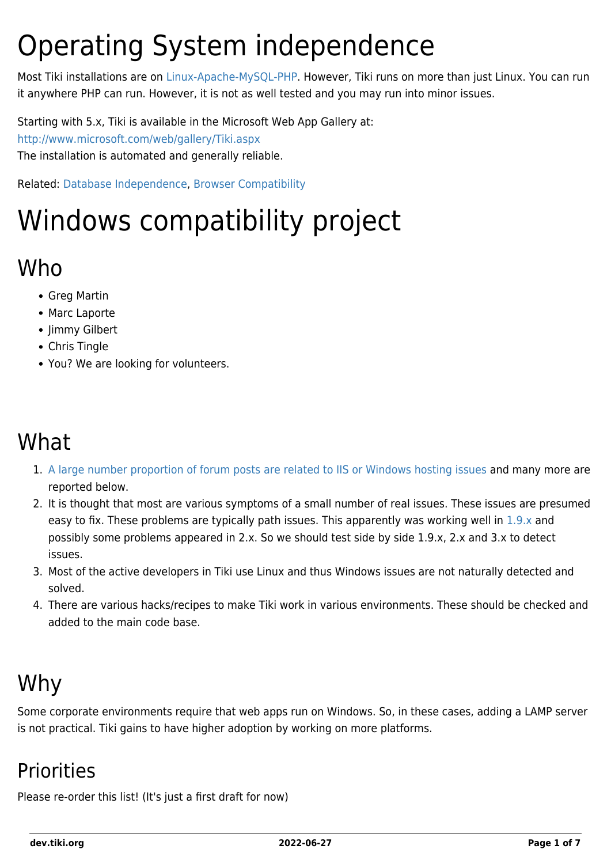## Operating System independence

Most Tiki installations are on [Linux-Apache-MySQL-PHP.](http://en.wikipedia.org/wiki/LAMP_(software_bundle)) However, Tiki runs on more than just Linux. You can run it anywhere PHP can run. However, it is not as well tested and you may run into minor issues.

Starting with 5.x, Tiki is available in the Microsoft Web App Gallery at: <http://www.microsoft.com/web/gallery/Tiki.aspx> The installation is automated and generally reliable.

Related: [Database Independence](https://dev.tiki.org/Database-independence), [Browser Compatibility](https://dev.tiki.org/Browser-Compatibility)

# Windows compatibility project

### Who

- Greg Martin
- Marc Laporte
- Jimmy Gilbert
- Chris Tingle
- You? We are looking for volunteers.

## What

- 1. [A large number proportion of forum posts are related to IIS or Windows hosting issues](http://tiki.org/tiki-view_forum.php?forumId=6) and many more are reported below.
- 2. It is thought that most are various symptoms of a small number of real issues. These issues are presumed easy to fix. These problems are typically path issues. This apparently was working well in [1.9.x](http://avantech.biz/tikiwiki/) and possibly some problems appeared in 2.x. So we should test side by side 1.9.x, 2.x and 3.x to detect issues.
- 3. Most of the active developers in Tiki use Linux and thus Windows issues are not naturally detected and solved.
- 4. There are various hacks/recipes to make Tiki work in various environments. These should be checked and added to the main code base.

## Why

Some corporate environments require that web apps run on Windows. So, in these cases, adding a LAMP server is not practical. Tiki gains to have higher adoption by working on more platforms.

### **Priorities**

Please re-order this list! (It's just a first draft for now)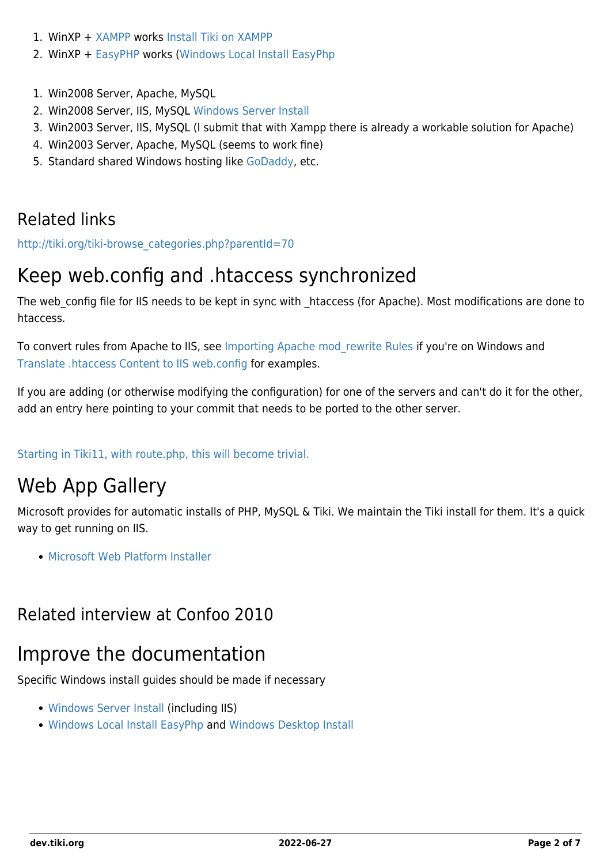- 1. WinXP + [XAMPP](http://www.apachefriends.org/en/xampp-windows.html) works [Install Tiki on XAMPP](http://doc.tiki.org/Install%20Tiki%20on%20XAMPP)
- 2. WinXP + [EasyPHP](http://www.easyphp.org/) works [\(Windows Local Install EasyPhp](http://doc.tiki.org/Windows%20Local%20Install%20EasyPhp)
- 1. Win2008 Server, Apache, MySQL
- 2. Win2008 Server, IIS, MySQL [Windows Server Install](http://doc.tiki.org/Windows%20Server%20Install)
- 3. Win2003 Server, IIS, MySQL (I submit that with Xampp there is already a workable solution for Apache)
- 4. Win2003 Server, Apache, MySQL (seems to work fine)
- 5. Standard shared Windows hosting like [GoDaddy](http://www.godaddy.com/gdshop/hosting/shared.asp), etc.

#### Related links

[http://tiki.org/tiki-browse\\_categories.php?parentId=70](http://tiki.org/tiki-browse_categories.php?parentId=70)

### Keep web.config and .htaccess synchronized

The web config file for IIS needs to be kept in sync with htaccess (for Apache). Most modifications are done to htaccess.

To convert rules from Apache to IIS, see [Importing Apache mod\\_rewrite Rules](http://learn.iis.net/page.aspx/470/importing-apache-modrewrite-rules/) if you're on Windows and [Translate .htaccess Content to IIS web.config](http://learn.iis.net/page.aspx/557/translate-htaccess-content-to-iis-webconfig/) for examples.

If you are adding (or otherwise modifying the configuration) for one of the servers and can't do it for the other, add an entry here pointing to your commit that needs to be ported to the other server.

[Starting in Tiki11, with route.php, this will become trivial.](http://sourceforge.net/p/tikiwiki/code/44661/)

### Web App Gallery

Microsoft provides for automatic installs of PHP, MySQL & Tiki. We maintain the Tiki install for them. It's a quick way to get running on IIS.

[Microsoft Web Platform Installer](https://dev.tiki.org/Microsoft-Web-Platform-Installer)

#### Related interview at Confoo 2010

#### Improve the documentation

Specific Windows install guides should be made if necessary

- [Windows Server Install](http://doc.tiki.org/Windows%20Server%20Install) (including IIS)
- [Windows Local Install EasyPhp](http://doc.tiki.org/Windows%20Local%20Install%20EasyPhp) and [Windows Desktop Install](http://doc.tiki.org/Windows%20Desktop%20Install)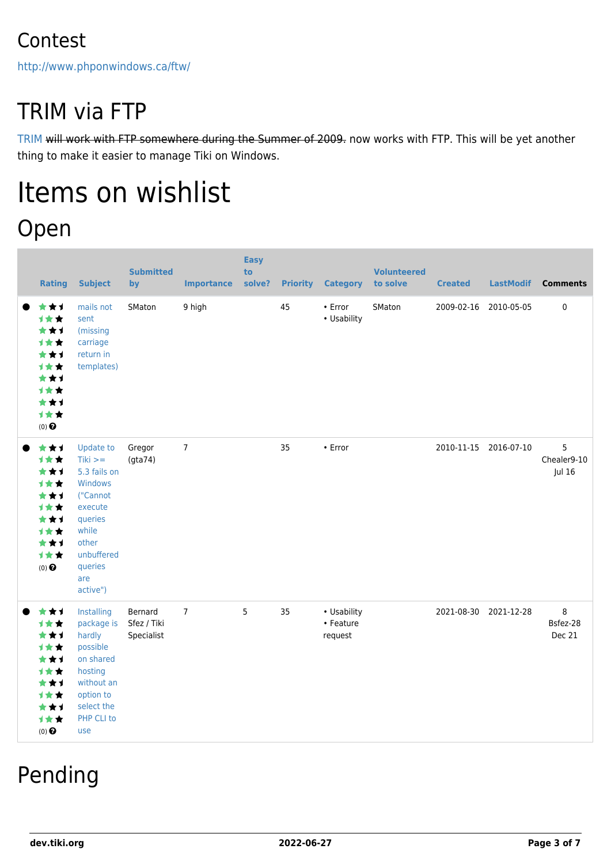### Contest

<http://www.phponwindows.ca/ftw/>

## TRIM via FTP

[TRIM](https://dev.tiki.org/TRIM) will work with FTP somewhere during the Summer of 2009. now works with FTP. This will be yet another thing to make it easier to manage Tiki on Windows.

## Items on wishlist Open

| <b>Rating</b>                                                                                     | <b>Subject</b>                                                                                                                                           | <b>Submitted</b><br>by               | <b>Importance</b> | <b>Easy</b><br>to<br>solve? |    | <b>Priority Category</b>            | <b>Volunteered</b><br>to solve | <b>Created</b> | <b>LastModif</b>      | <b>Comments</b>            |
|---------------------------------------------------------------------------------------------------|----------------------------------------------------------------------------------------------------------------------------------------------------------|--------------------------------------|-------------------|-----------------------------|----|-------------------------------------|--------------------------------|----------------|-----------------------|----------------------------|
| ***<br>1★★<br>***<br><b>1**</b><br>***<br>1★★<br>***<br>计女女<br>***<br>1★★<br>$(0)$ $\Theta$       | mails not<br>sent<br>(missing<br>carriage<br>return in<br>templates)                                                                                     | SMaton                               | 9 high            |                             | 45 | • Error<br>• Usability              | SMaton                         |                | 2009-02-16 2010-05-05 | $\pmb{0}$                  |
| ***<br>计女女<br>***<br><b>1**</b><br>***<br><b>1★★</b><br>★★1<br>计女女<br>***<br>1★★<br>$(0)$ $\odot$ | <b>Update to</b><br>$Tiki >=$<br>5.3 fails on<br>Windows<br>("Cannot<br>execute<br>queries<br>while<br>other<br>unbuffered<br>queries<br>are<br>active") | Gregor<br>(gta74)                    | $\overline{7}$    |                             | 35 | • Error                             |                                |                | 2010-11-15 2016-07-10 | 5<br>Chealer9-10<br>Jul 16 |
| ***<br>1★★<br>***<br>计女女<br>***<br><b>1**</b><br>***<br>计女女<br>***<br>1★★<br>$(0)$ $\Theta$       | Installing<br>package is<br>hardly<br>possible<br>on shared<br>hosting<br>without an<br>option to<br>select the<br>PHP CLI to<br>use                     | Bernard<br>Sfez / Tiki<br>Specialist | $\overline{7}$    | 5                           | 35 | • Usability<br>• Feature<br>request |                                |                | 2021-08-30 2021-12-28 | 8<br>Bsfez-28<br>Dec 21    |

## Pending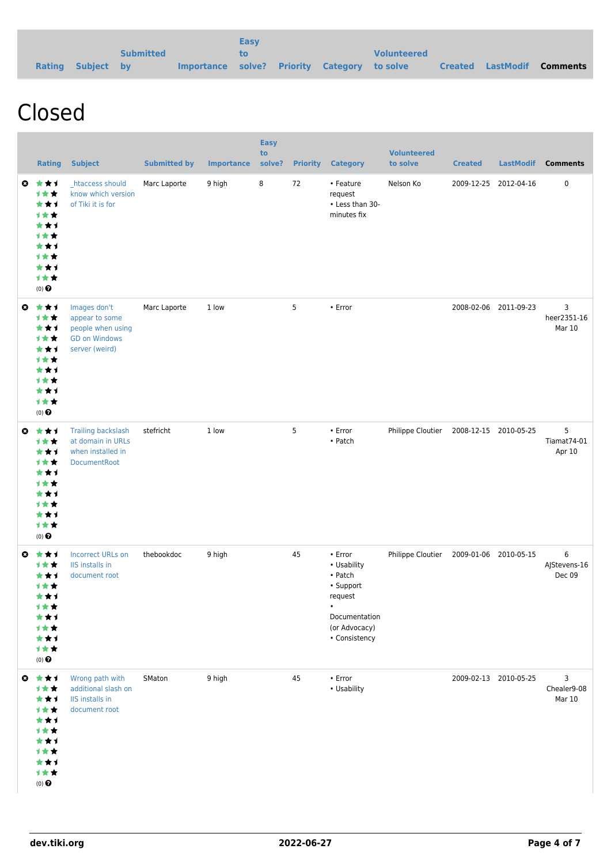|                   |                  |                                              | <b>Easy</b> |  |                    |  |                                   |
|-------------------|------------------|----------------------------------------------|-------------|--|--------------------|--|-----------------------------------|
|                   | <b>Submitted</b> |                                              |             |  | <b>Volunteered</b> |  |                                   |
| Rating Subject by |                  | Importance solve? Priority Category to solve |             |  |                    |  | <b>Created LastModif Comments</b> |

## Closed

|           | <b>Rating</b>                                                                                                                  | <b>Subject</b>                                                                                | <b>Submitted by</b> | <b>Importance</b> | <b>Easy</b><br>to<br>solve? | <b>Priority</b> | <b>Category</b>                                                                                                           | <b>Volunteered</b><br>to solve          | <b>Created</b>        | <b>LastModif</b>      | <b>Comments</b>             |
|-----------|--------------------------------------------------------------------------------------------------------------------------------|-----------------------------------------------------------------------------------------------|---------------------|-------------------|-----------------------------|-----------------|---------------------------------------------------------------------------------------------------------------------------|-----------------------------------------|-----------------------|-----------------------|-----------------------------|
| $\bullet$ | ***<br>计女女<br>***<br>1★★<br>***<br><b>1**</b><br>***<br>计女女<br>***<br>计女女<br>$(0)$ $\odot$                                     | htaccess should<br>know which version<br>of Tiki it is for                                    | Marc Laporte        | 9 high            | 8                           | 72              | • Feature<br>request<br>• Less than 30-<br>minutes fix                                                                    | Nelson Ko                               | 2009-12-25            | 2012-04-16            | $\pmb{0}$                   |
| $\bullet$ | 大女子<br><b>1**</b><br>***<br><b>1**</b><br>***<br>1★★<br>***<br><b>1**</b><br>***<br>计女女<br>$(0)$ <sup><math>\odot</math></sup> | Images don't<br>appear to some<br>people when using<br><b>GD on Windows</b><br>server (weird) | Marc Laporte        | 1 low             |                             | 5               | • Error                                                                                                                   |                                         |                       | 2008-02-06 2011-09-23 | 3<br>heer2351-16<br>Mar 10  |
| $\bullet$ | ***<br>1★★<br>***<br><b>1**</b><br>***<br>计女女<br>***<br><b>1**</b><br>***<br>计女女<br>$(0)$ $\odot$                              | <b>Trailing backslash</b><br>at domain in URLs<br>when installed in<br>DocumentRoot           | stefricht           | 1 low             |                             | 5               | • Error<br>• Patch                                                                                                        | Philippe Cloutier 2008-12-15 2010-05-25 |                       |                       | 5<br>Tiamat74-01<br>Apr 10  |
| $\bullet$ | ***<br><b>1**</b><br>***<br>计女女<br>***<br>计女女<br>***<br>计女女<br>***<br>计女女<br>$(0)$ $\odot$                                     | <b>Incorrect URLs on</b><br>IIS installs in<br>document root                                  | thebookdoc          | 9 high            |                             | 45              | • Error<br>• Usability<br>• Patch<br>• Support<br>request<br>$\bullet$<br>Documentation<br>(or Advocacy)<br>• Consistency | Philippe Cloutier                       | 2009-01-06 2010-05-15 |                       | 6<br>AJStevens-16<br>Dec 09 |
| $\bullet$ | 食食す<br>1★★<br>***<br>计女女<br>***<br>计女女<br>***<br>计女女<br>***<br>1★★<br>$(0)$<br>$\pmb{\Theta}$                                  | Wrong path with<br>additional slash on<br>IIS installs in<br>document root                    | SMaton              | 9 high            |                             | 45              | $\cdot$ Error<br>• Usability                                                                                              |                                         |                       | 2009-02-13 2010-05-25 | 3<br>Chealer9-08<br>Mar 10  |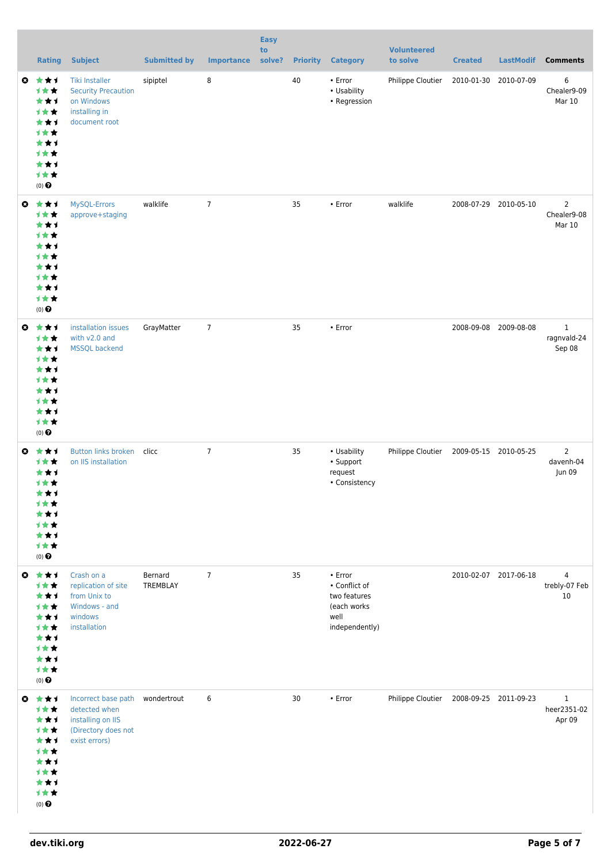|           | <b>Rating</b>                                                                                             | <b>Subject</b>                                                                                                | <b>Submitted by</b> | <b>Importance</b> | <b>Easy</b><br>to<br>solve? | <b>Priority</b> | <b>Category</b>                                                                         | <b>Volunteered</b><br>to solve          | <b>Created</b>        | <b>LastModif</b>      | <b>Comments</b>                         |
|-----------|-----------------------------------------------------------------------------------------------------------|---------------------------------------------------------------------------------------------------------------|---------------------|-------------------|-----------------------------|-----------------|-----------------------------------------------------------------------------------------|-----------------------------------------|-----------------------|-----------------------|-----------------------------------------|
| $\bullet$ | ***<br>1★★<br>***<br>计女女<br>***<br>1★★<br>***<br>计女女<br>***<br>1★★<br>$(0)$ $\Theta$                      | <b>Tiki Installer</b><br><b>Security Precaution</b><br>on Windows<br>installing in<br>document root           | sipiptel            | 8                 |                             | 40              | • Error<br>• Usability<br>• Regression                                                  | Philippe Cloutier                       | 2010-01-30            | 2010-07-09            | 6<br>Chealer9-09<br>Mar 10              |
| $\bullet$ | 大女子<br>计女女<br>***<br>1★★<br>***<br>计女女<br>***<br>计女女<br>***<br>1★★<br>$(0)$<br>$\pmb{\Theta}$             | MySQL-Errors<br>approve+staging                                                                               | walklife            | $\overline{7}$    |                             | 35              | • Error                                                                                 | walklife                                | 2008-07-29            | 2010-05-10            | $\overline{2}$<br>Chealer9-08<br>Mar 10 |
| $\bullet$ | ***<br>1★★<br>***<br>1★★<br>***<br>计女女<br>***<br>计女女<br>***<br>1★★<br>$(0)$ <sup><math>\odot</math></sup> | installation issues<br>with v2.0 and<br><b>MSSQL backend</b>                                                  | GrayMatter          | $\overline{7}$    |                             | 35              | • Error                                                                                 |                                         |                       | 2008-09-08 2009-08-08 | $\mathbf{1}$<br>ragnvald-24<br>Sep 08   |
|           | ◎ ★★1<br><b>1**</b><br>***<br>1★★<br>***<br>计女女<br>* * 1<br><b>1★★</b><br>***<br>计女女<br>$(0)$ $\odot$     | <b>Button links broken</b><br>on IIS installation                                                             | clicc               | $\overline{7}$    |                             | 35              | • Usability<br>• Support<br>request<br>• Consistency                                    | Philippe Cloutier                       | 2009-05-15 2010-05-25 |                       | $\overline{2}$<br>davenh-04<br>Jun 09   |
| $\bullet$ | 大女子<br>1★★<br>***<br>计女女<br>***<br>1★★<br>***<br>计女女<br>***<br>计女女<br>$(0)$ $\odot$                       | Crash on a<br>replication of site<br>from Unix to<br>Windows - and<br>windows<br>installation                 | Bernard<br>TREMBLAY | $\overline{7}$    |                             | 35              | $\cdot$ Error<br>• Conflict of<br>two features<br>(each works<br>well<br>independently) |                                         |                       | 2010-02-07 2017-06-18 | 4<br>trebly-07 Feb<br>10                |
| $\bullet$ | 大女子<br>1★★<br>***<br>1★★<br>***<br><b>1**</b><br>***<br><b>1★★</b><br>***<br>计女女<br>$(0)$ $\odot$         | Incorrect base path wondertrout<br>detected when<br>installing on IIS<br>(Directory does not<br>exist errors) |                     | 6                 |                             | 30              | $\cdot$ Error                                                                           | Philippe Cloutier 2008-09-25 2011-09-23 |                       |                       | $\mathbf{1}$<br>heer2351-02<br>Apr 09   |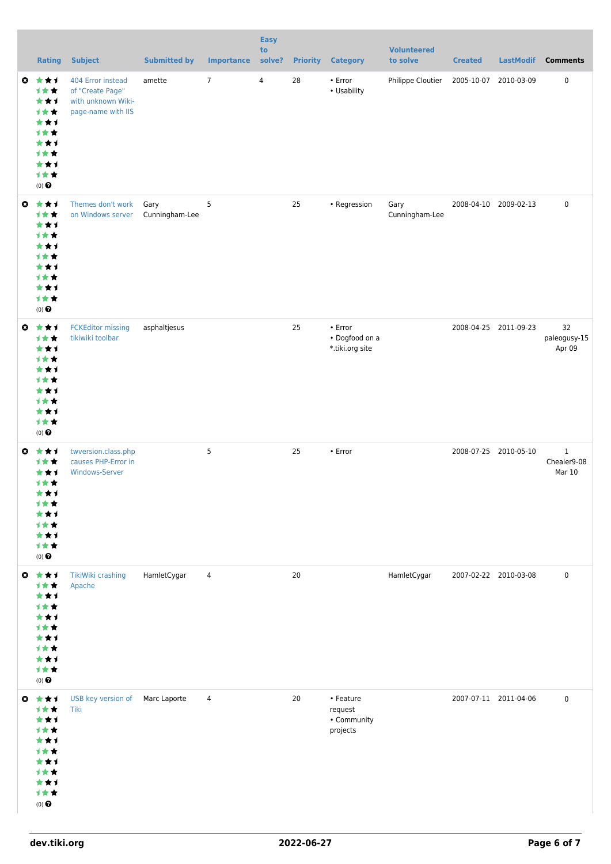|           | <b>Rating</b>                                                                                                | <b>Subject</b>                                                                    | <b>Submitted by</b>    | <b>Importance</b> | <b>Easy</b><br>to<br>solve? | <b>Priority</b> | <b>Category</b>                                 | <b>Volunteered</b><br>to solve | <b>Created</b>        | <b>LastModif</b>      | <b>Comments</b>                      |
|-----------|--------------------------------------------------------------------------------------------------------------|-----------------------------------------------------------------------------------|------------------------|-------------------|-----------------------------|-----------------|-------------------------------------------------|--------------------------------|-----------------------|-----------------------|--------------------------------------|
|           | ◎ ★★1<br>1★★<br>***<br>1★★<br>***<br>1★★<br>***<br><b>1**</b><br>***<br>1★★<br>$(0)$ $\Theta$                | 404 Error instead<br>of "Create Page"<br>with unknown Wiki-<br>page-name with IIS | amette                 | $7\overline{ }$   | $\overline{4}$              | 28              | • Error<br>• Usability                          | Philippe Cloutier              | 2005-10-07 2010-03-09 |                       | $\pmb{0}$                            |
|           | ◎ ★★1<br>1★★<br>***<br>1★★<br>***<br>计女女<br>***<br>计女女<br>***<br>计女女<br>$(0)$ <sup><math>\odot</math></sup>  | Themes don't work<br>on Windows server                                            | Gary<br>Cunningham-Lee | 5                 |                             | 25              | • Regression                                    | Gary<br>Cunningham-Lee         |                       | 2008-04-10 2009-02-13 | $\mathbf 0$                          |
|           | ◎ ★★1<br>1★★<br>***<br>1★★<br>***<br>1★★<br>***<br>计女女<br>***<br>1★★<br>$(0)$ $\Theta$                       | <b>FCKEditor missing</b><br>tikiwiki toolbar                                      | asphaltjesus           |                   |                             | 25              | • Error<br>• Dogfood on a<br>*.tiki.org site    |                                |                       | 2008-04-25 2011-09-23 | 32<br>paleogusy-15<br>Apr 09         |
|           | ◎ ★★1<br>1★★<br>***<br>1★★<br>***<br>计女女<br>***<br>计女女<br>***<br>1★★<br>$(0)$ $\odot$                        | twversion.class.php<br>causes PHP-Error in<br><b>Windows-Server</b>               |                        | 5                 |                             | 25              | • Error                                         |                                |                       | 2008-07-25 2010-05-10 | $\mathbf 1$<br>Chealer9-08<br>Mar 10 |
| $\bullet$ | 大女子<br>1★★<br>***<br><b>1**</b><br>***<br>计女女<br>***<br>计女女<br>***<br>计女女<br>$(0)$ $\odot$                   | TikiWiki crashing<br>Apache                                                       | HamletCygar            | 4                 |                             | 20              |                                                 | HamletCygar                    |                       | 2007-02-22 2010-03-08 | $\mathbf 0$                          |
|           | $0 \star \star \star$<br>1★★<br>***<br><b>1**</b><br>***<br>计女女<br>***<br>计女女<br>***<br>1★★<br>$(0)$ $\odot$ | USB key version of<br>Tiki                                                        | Marc Laporte           | $\overline{4}$    |                             | 20              | • Feature<br>request<br>• Community<br>projects |                                |                       | 2007-07-11 2011-04-06 | $\mathbf 0$                          |